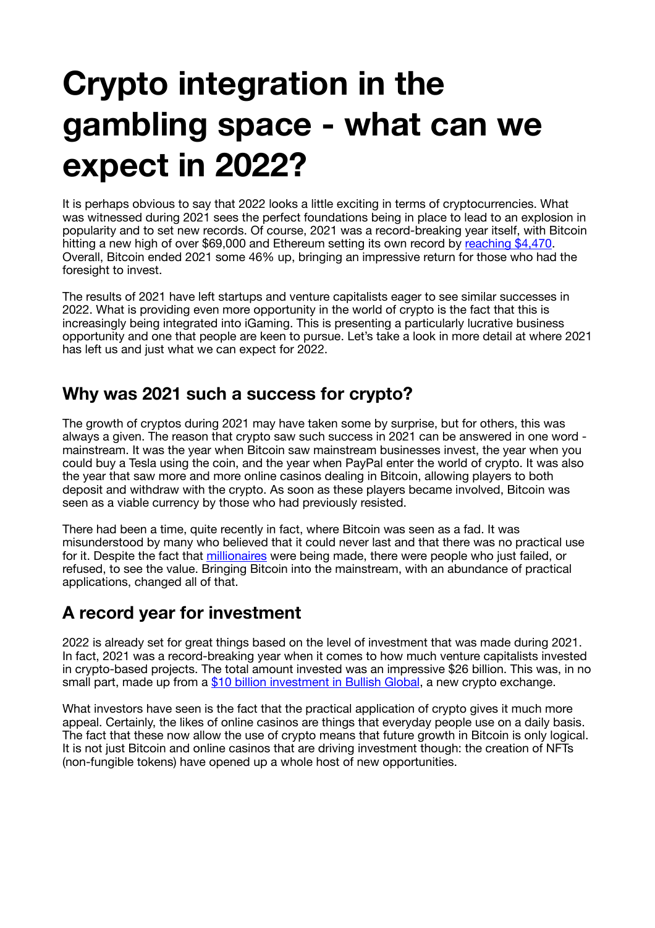# **Crypto integration in the gambling space - what can we expect in 2022?**

It is perhaps obvious to say that 2022 looks a little exciting in terms of cryptocurrencies. What was witnessed during 2021 sees the perfect foundations being in place to lead to an explosion in popularity and to set new records. Of course, 2021 was a record-breaking year itself, with Bitcoin hitting a new high of over \$69,000 and Ethereum setting its own record by [reaching \\$4,470](https://www.independent.co.uk/life-style/gadgets-and-tech/ethereum-price-latest-prediction-nft-metaverse-b1949757.html). Overall, Bitcoin ended 2021 some 46% up, bringing an impressive return for those who had the foresight to invest.

The results of 2021 have left startups and venture capitalists eager to see similar successes in 2022. What is providing even more opportunity in the world of crypto is the fact that this is increasingly being integrated into iGaming. This is presenting a particularly lucrative business opportunity and one that people are keen to pursue. Let's take a look in more detail at where 2021 has left us and just what we can expect for 2022.

#### **Why was 2021 such a success for crypto?**

The growth of cryptos during 2021 may have taken some by surprise, but for others, this was always a given. The reason that crypto saw such success in 2021 can be answered in one word mainstream. It was the year when Bitcoin saw mainstream businesses invest, the year when you could buy a Tesla using the coin, and the year when PayPal enter the world of crypto. It was also the year that saw more and more online casinos dealing in Bitcoin, allowing players to both deposit and withdraw with the crypto. As soon as these players became involved, Bitcoin was seen as a viable currency by those who had previously resisted.

There had been a time, quite recently in fact, where Bitcoin was seen as a fad. It was misunderstood by many who believed that it could never last and that there was no practical use for it. Despite the fact that [millionaires](https://www.investopedia.com/articles/people/083016/who-are-top-5-bitcoin-millionaires.asp) were being made, there were people who just failed, or refused, to see the value. Bringing Bitcoin into the mainstream, with an abundance of practical applications, changed all of that.

## **A record year for investment**

2022 is already set for great things based on the level of investment that was made during 2021. In fact, 2021 was a record-breaking year when it comes to how much venture capitalists invested in crypto-based projects. The total amount invested was an impressive \$26 billion. This was, in no small part, made up from a [\\$10 billion investment in Bullish Global](https://www.businesswire.com/news/home/20210511005055/en/Block.one-and-Prominent-Investors-Launch-Bullish-Global-With-10B-in-Funding-and-Announce-the-2021-Launch-of-New-Cryptocurrency-Exchange-Bullish), a new crypto exchange.

What investors have seen is the fact that the practical application of crypto gives it much more appeal. Certainly, the likes of online casinos are things that everyday people use on a daily basis. The fact that these now allow the use of crypto means that future growth in Bitcoin is only logical. It is not just Bitcoin and online casinos that are driving investment though: the creation of NFTs (non-fungible tokens) have opened up a whole host of new opportunities.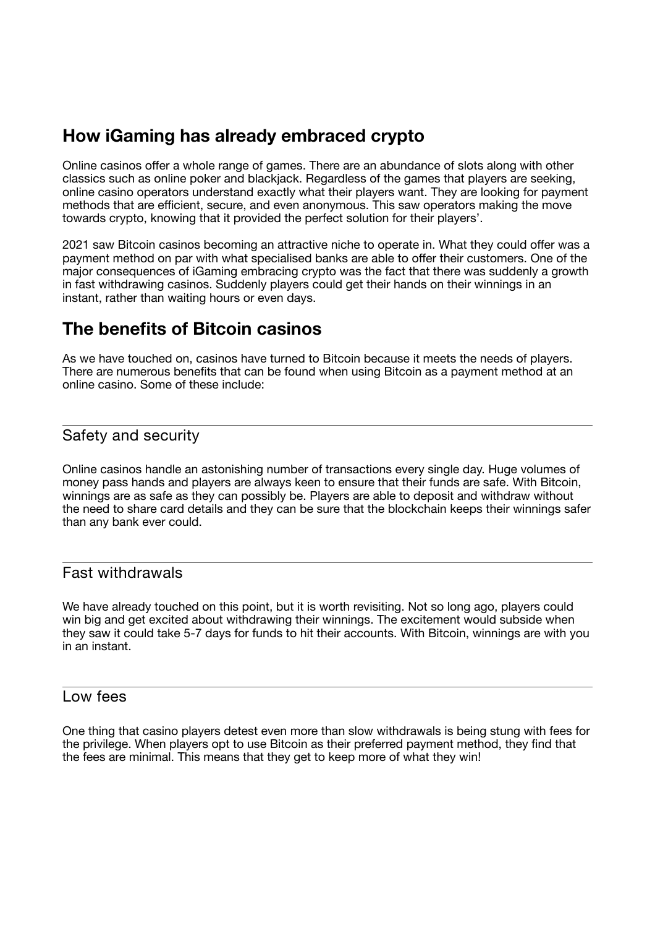## **How iGaming has already embraced crypto**

Online casinos offer a whole range of games. There are an abundance of slots along with other classics such as online poker and blackjack. Regardless of the games that players are seeking, online casino operators understand exactly what their players want. They are looking for payment methods that are efficient, secure, and even anonymous. This saw operators making the move towards crypto, knowing that it provided the perfect solution for their players'.

2021 saw Bitcoin casinos becoming an attractive niche to operate in. What they could offer was a payment method on par with what specialised banks are able to offer their customers. One of the major consequences of iGaming embracing crypto was the fact that there was suddenly a growth in fast withdrawing casinos. Suddenly players could get their hands on their winnings in an instant, rather than waiting hours or even days.

### **The benefits of Bitcoin casinos**

As we have touched on, casinos have turned to Bitcoin because it meets the needs of players. There are numerous benefits that can be found when using Bitcoin as a payment method at an online casino. Some of these include:

#### Safety and security

Online casinos handle an astonishing number of transactions every single day. Huge volumes of money pass hands and players are always keen to ensure that their funds are safe. With Bitcoin, winnings are as safe as they can possibly be. Players are able to deposit and withdraw without the need to share card details and they can be sure that the blockchain keeps their winnings safer than any bank ever could.

#### Fast withdrawals

We have already touched on this point, but it is worth revisiting. Not so long ago, players could win big and get excited about withdrawing their winnings. The excitement would subside when they saw it could take 5-7 days for funds to hit their accounts. With Bitcoin, winnings are with you in an instant.

#### Low fees

One thing that casino players detest even more than slow withdrawals is being stung with fees for the privilege. When players opt to use Bitcoin as their preferred payment method, they find that the fees are minimal. This means that they get to keep more of what they win!